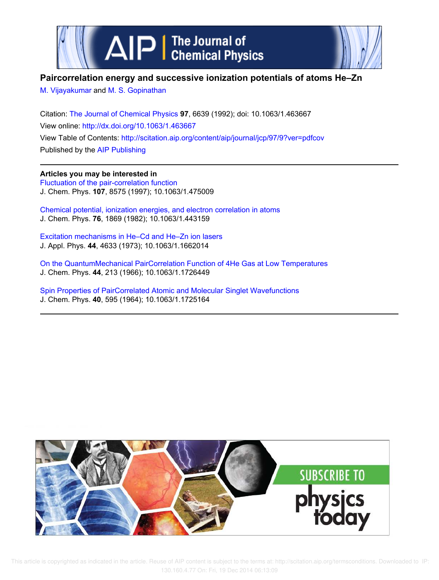

## **Paircorrelation energy and successive ionization potentials of atoms He–Zn**

M. Vijayakumar and M. S. Gopinathan

Citation: The Journal of Chemical Physics **97**, 6639 (1992); doi: 10.1063/1.463667 View online: http://dx.doi.org/10.1063/1.463667 View Table of Contents: http://scitation.aip.org/content/aip/journal/jcp/97/9?ver=pdfcov Published by the AIP Publishing

**Articles you may be interested in** Fluctuation of the pair-correlation function J. Chem. Phys. **107**, 8575 (1997); 10.1063/1.475009

Chemical potential, ionization energies, and electron correlation in atoms J. Chem. Phys. **76**, 1869 (1982); 10.1063/1.443159

Excitation mechanisms in He–Cd and He–Zn ion lasers J. Appl. Phys. **44**, 4633 (1973); 10.1063/1.1662014

On the QuantumMechanical PairCorrelation Function of 4He Gas at Low Temperatures J. Chem. Phys. **44**, 213 (1966); 10.1063/1.1726449

Spin Properties of PairCorrelated Atomic and Molecular Singlet Wavefunctions J. Chem. Phys. **40**, 595 (1964); 10.1063/1.1725164

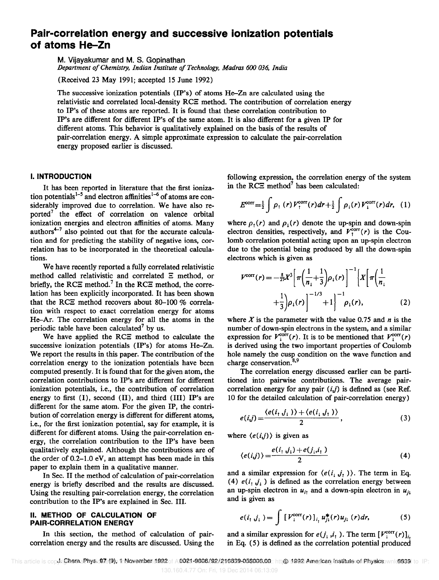# **Pair-correlation energy and successive ionization potentials of atoms He-Zn**

M. Vijayakumar and M. S. Gopinathan *Department of Chemistry, Indian Institute of Technology, Madras* 600 *036, India* 

(Received 23 May 1991; accepted 15 June 1992)

The successive ionization potentials (IP's) of atoms He-Zn are calculated using the relativistic and correlated local-density  $RC\Xi$  method. The contribution of correlation energy to IP's of these atoms are reported. It is found that these correlation contribution to IP's are different for different IP's of the same atom. It is also different for a given IP for different atoms. This behavior is qualitatively explained on the basis of the results of pair-correlation energy. A simple approximate expression to calculate the pair-correlation energy proposed earlier is discussed.

#### **I. INTRODUCTION**

It has been reported in literature that the first ionization potentials<sup>1-5</sup> and electron affinities<sup>1-6</sup> of atoms are considerably improved due to correlation. We have also reported $^7$  the effect of correlation on valence orbital ionization energies and electron affinities of atoms. Many authors<sup>4-7</sup> also pointed out that for the accurate calculation and for predicting the stability of negative ions, correlation has to be incorporated in the theoretical calculations.

We have recently reported a fully correlated relativistic method called relativistic and correlated  $\Xi$  method, or briefly, the RCE method.<sup>7</sup> In the RCE method, the correlation has been explicitly incorporated. It has been shown that the RCE method recovers about 80-100  $%$  correlation with respect to exact correlation energy for atoms He-Ar. The correlation energy for all the atoms in the periodic table have been calculated<sup>7</sup> by us.

We have applied the RCE method to calculate the successive ionization potentials (IP's) for atoms He-Zn. We report the results in this paper. The contribution of the correlation energy to the ionization potentials have been computed presently. It is found that for the given atom, the correlation contributions to IP's are different for different ionization potentials, i.e., the contribution of correlation energy to first  $(I)$ , second  $(II)$ , and third  $(III)$  IP's are different for the same atom. For the given IP, the contribution of correlation energy is different for different atoms, i.e., for the first ionization potential, say for example, it is different for different atoms. Using the pair-correlation energy, the correlation contribution to the IP's have been qualitatively explained. Although the contributions are of the order of 0.2-1.0 eV, an attempt has been made in this paper to explain them in a qualitative manner.

In Sec. II the method of calculation of pair-correlation energy is briefly described and the results are discussed. Using the resulting pair-correlation energy, the correlation contribution to the IP's are explained in Sec. III.

### II. **METHOD OF CALCULATION OF PAIR-CORRELATION ENERGY**

In this section, the method of calculation of paircorrelation energy and the results are discussed. Using the following expression, the correlation energy of the system in the RCE method<sup>7</sup> has been calculated:

$$
E^{\text{corr}} = \frac{1}{2} \int \rho_1(r) V_1^{\text{corr}}(r) dr + \frac{1}{2} \int \rho_1(r) V_1^{\text{corr}}(r) dr, (1)
$$

where  $\rho_1(r)$  and  $\rho_1(r)$  denote the up-spin and down-spin electron densities, respectively, and  $V_t^{\text{corr}}(r)$  is the Coulomb correlation potential acting upon an up-spin electron due to the potential being produced by all the down-spin electrons which is given as

$$
V^{\text{corr}}(r) = -\frac{8}{27}X^3 \left[ \pi \left( \frac{1}{n_1} + \frac{1}{3} \right) \rho_1(r) \right]^{-1} \left[ X \left[ \pi \left( \frac{1}{n_1} + \frac{1}{3} \right) \rho_1(r) \right]^{-1/3} + \frac{1}{3} \rho_1(r) \right]^{-1/3} + 1 \left[ \rho_1(r) \right], \tag{2}
$$

where  $X$  is the parameter with the value 0.75 and  $n$  is the number of down-spin electrons in the system, and a similar expression for  $V_1^{\text{corr}}(r)$ . It is to be mentioned that  $V_1^{\text{corr}}(r)$ is derived using the two important properties of Coulomb hole namely the cusp condition on the wave function and charge conservation.<sup>8,9</sup>

The correlation energy discussed earlier can be partitioned into pairwise contributions. The average paircorrelation energy for any pair  $(i,j)$  is defined as (see Ref. 10 for the detailed calculation of pair-correlation energy)

$$
e(i,j) = \frac{\langle e(i_1,j_1) \rangle + \langle e(i_1,j_1) \rangle}{2}, \qquad (3)
$$

where  $\langle e(i,j) \rangle$  is given as

$$
\langle e(i,j)\rangle = \frac{e(i_1,j_1) + e(j_1,i_1)}{2} \tag{4}
$$

and a similar expression for  $\langle e(i, j, \cdot) \rangle$ . The term in Eq. (4)  $e(i_1, j_1)$  is defined as the correlation energy between an up-spin electron in  $u_{it}$  and a down-spin electron in  $u_{it}$ and is given as

$$
e(i_1,j_1) = \int \left[ V_1^{\text{corr}}(r) \right]_{i_1} u_{j_1}^*(r) u_{j_1}(r) dr, \tag{5}
$$

and a similar expression for  $e(j_1, i_t)$ . The term  $[V_1^{\text{corr}}(r)]_{i_1}$ in Eq. (5) is defined as the correlation potential produced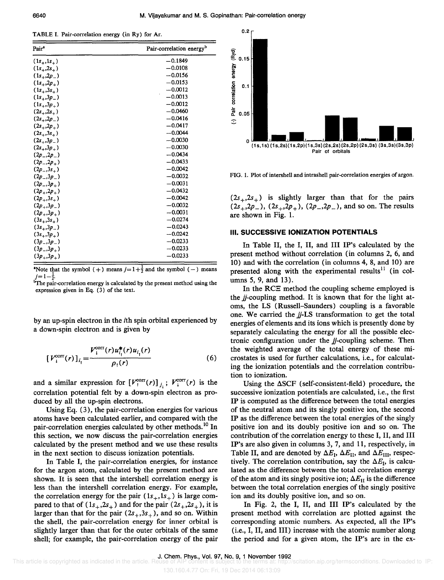| TABLE I. Pair-correlation energy (in Ry) for Ar. |  |  |  |
|--------------------------------------------------|--|--|--|
|--------------------------------------------------|--|--|--|

| Pair <sup>a</sup>         | Pair-correlation energy <sup>b</sup> |  |  |  |  |
|---------------------------|--------------------------------------|--|--|--|--|
| $(1s_{+}, 1s_{+})$        | $-0.1849$                            |  |  |  |  |
| $(1s_{+},2s_{+})$         | $-0.0108$                            |  |  |  |  |
| $(1s_{+}, 2p_{-})$        | $-0.0156$                            |  |  |  |  |
| $(1s_{+}, 2p_{+})$        | $-0.0153$                            |  |  |  |  |
| $(1s_+, 3s_+)$            | $-0.0012$                            |  |  |  |  |
| $(1s_+, 3p_-)$            | $-0.0013$                            |  |  |  |  |
| $(1s_{+},3p_{+})$         | $-0.0012$                            |  |  |  |  |
| $(2s_{+},2s_{+})$         | $-0.0460$                            |  |  |  |  |
| $(2s_+, 2p_-)$            | $-0.0416$                            |  |  |  |  |
| $(2s_+, 2p_+)$            | $-0.0417$                            |  |  |  |  |
| $(2s_+, 3s_+)$            | $-0.0044$                            |  |  |  |  |
| $(2s_+, 3p_-)$            | $-0.0030$                            |  |  |  |  |
| $(2s_+, 3p_+)$            | $-0.0030$                            |  |  |  |  |
| $(2p_2,2p_$               | $-0.0434$                            |  |  |  |  |
| $(2p_{-},2p_{+})$         | $-0.0433$                            |  |  |  |  |
| $(2p_3^3s_+)$             | $-0.0042$                            |  |  |  |  |
| $(2p_3p_2)$               | $-0.0032$                            |  |  |  |  |
| $(2p_3-3p_4)$             | $-0.0031$                            |  |  |  |  |
| $(2p_{+},2p_{+})$         | $-0.0432$                            |  |  |  |  |
| $(2p_{\perp},3s_{\perp})$ | $-0.0042$                            |  |  |  |  |
| $(2p_{\perp},3p_{\perp})$ | $-0.0032$                            |  |  |  |  |
| $(2p_+, 3p_+)$            | $-0.0031$                            |  |  |  |  |
| $(3s_+, 3s_+)$            | $-0.0274$                            |  |  |  |  |
| $(3s_+, 3p_-)$            | $-0.0243$                            |  |  |  |  |
| $(3s_+, 3p_+)$            | $-0.0242$                            |  |  |  |  |
| $(3p_3-3p_2)$             | $-0.0233$                            |  |  |  |  |
| $(3p_3-3p_4)$             | $-0.0233$                            |  |  |  |  |
| $(3p_+3p_+)$              | $-0.0233$                            |  |  |  |  |

"Note that the symbol (+) means  $j=1+\frac{1}{2}$  and the symbol (-) means  $j=1-\frac{1}{2}$ .

 $\overline{p}$ The pair-correlation energy is calculated by the present method using the expression given in Eq.  $(3)$  of the text.

by an up-spin electron in the ith spin orbital experienced by a down-spin electron and is given by

$$
[V_{i}^{\text{corr}}(r)]_{i_{\text{t}}} = \frac{V_{i}^{\text{corr}}(r)u_{i_{\text{t}}}^{*}(r)u_{i_{\text{t}}}(r)}{\rho_{\text{t}}(r)}
$$
(6)

and a similar expression for  $[V_t^{\text{corr}}(r)]_{j_i}$ ;  $V_t^{\text{corr}}(r)$  is the correlation potential felt by a down-spin electron as produced by all the up-spin electrons.

Using Eq. (3), the pair-correlation energies for various atoms have been calculated earlier, and compared with the pair-correlation energies calculated by other methods.<sup>10</sup> In this section, we now discuss the pair-correlation energies calculated by the present method and we use these results in the next section to discuss ionization potentials.

In Table I, the pair-correlation energies, for instance for the argon atom, calculated by the present method are shown. It is seen that the intershell correlation energy is less than the intershell correlation energy. For example, the correlation energy for the pair  $(1s_+,1s_+)$  is large compared to that of  $(1s_+, 2s_+)$  and for the pair  $(2s_+, 2s_+)$ , it is larger than that for the pair  $(2s_+, 3s_+)$ , and so on. Within the shell, the pair-correlation energy for inner orbital is slightly larger than that for the outer orbitals of the same shell; for example, the pair-correlation energy of the pair



FIG. 1. Plot of intershell and intrashell pair-correlation energies of argon.

 $(2s_{+}, 2s_{+})$  is slightly larger than that for the pairs  $(2s_+,2p_-), (2s_+,2p_+), (2p_-,2p_-),$  and so on. The results are shown in Fig. 1.

#### **III. SUCCESSIVE IONIZATION POTENTIALS**

In Table II, the I, II, and III IP's calculated by the present method without correlation (in columns 2, 6, and 10) and with the correlation (in columns 4, 8, and 10) are presented along with the experimental results<sup>11</sup> (in columns 5, 9, and 13).

In the RCE method the coupling scheme employed is the  $ji$ -coupling method. It is known that for the light atoms, the LS (Russell-Saunders) coupling is a favorable one. We carried the *ii-*LS transformation to get the total energies of elements and its ions which is presently done by separately calculating the energy for all the possible electronic configuration under the  $ji$ -coupling scheme. Then the weighted average of the total energy of these microstates is used for further calculations, i.e., for calculating the ionization potentials and the correlation contribution to ionization.

Using the  $\Delta$ SCF (self-consistent-field) procedure, the successive ionization potentials are calculated, i.e., the first IP is computed as the difference between the total energies of the neutral atom and its singly positive ion, the second IP as the difference between the total energies of the singly positive ion and its doubly positive ion and so on. The contribution of the correlation energy to these I, II, and III IP's are also given in columns 3, 7, and 11, respectively, in Table II, and are denoted by  $\Delta E_{\text{I}}$ ,  $\Delta E_{\text{II}}$ , and  $\Delta E_{\text{III}}$ , respectively. The correlation contribution, say the  $\Delta E_I$ , is calculated as the difference between the total correlation energy of the atom and its singly positive ion;  $\Delta E_{\text{II}}$  is the difference between the total correlation energies of the singly positive ion and its doubly positive ion, and so on.

In Fig. 2, the I, II, and III IP's calculated by the present method with correlation are plotted against the corresponding atomic numbers. As expected, all the IP's (i.e., I, II, and III) increase with the atomic number along the period and for a given atom, the IP's are in the ex-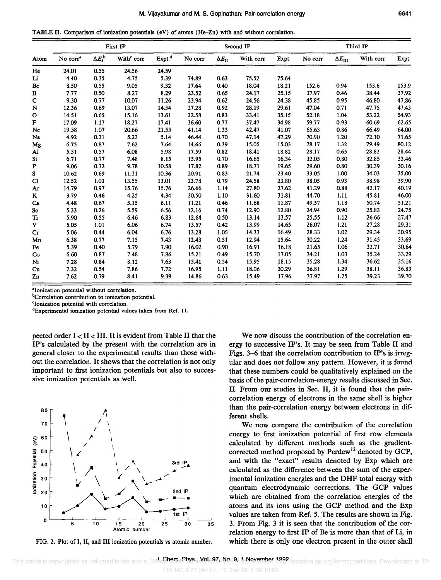TABLE II. Comparison of ionization potentials (eV) of atoms (He-Zn) with and without correlation.

| Atom                         | First IP             |                    |                        |                    | Second IP |                    |           | Third IP |         |                         |           |       |
|------------------------------|----------------------|--------------------|------------------------|--------------------|-----------|--------------------|-----------|----------|---------|-------------------------|-----------|-------|
|                              | No corr <sup>a</sup> | $\Delta E_I^{\ b}$ | With <sup>c</sup> corr | Expt. <sup>d</sup> | No corr   | $\Delta E_{\rm H}$ | With corr | Expt.    | No corr | $\Delta E_\mathrm{III}$ | With corr | Expt. |
| He                           | 24.01                | 0.55               | 24.56                  | 24.59              |           |                    |           |          |         |                         |           |       |
| Li                           | 4.40                 | 0.35               | 4.75                   | 5.39               | 74.89     | 0.63               | 75.52     | 75.64    |         |                         |           |       |
| Be                           | 8.50                 | 0.55               | 9.05                   | 9.32               | 17.64     | 0.40               | 18.04     | 18.21    | 152.6   | 0.94                    | 153.6     | 153.9 |
| B                            | 7.77                 | 0.50               | 8.27                   | 8.29               | 23.52     | 0.65               | 24.17     | 25.15    | 37.97   | 0.46                    | 38.44     | 37.92 |
| $\mathbf C$                  | 9.30                 | 0.77               | 10.07                  | 11.26              | 23.94     | 0.62               | 24.56     | 24.38    | 45.85   | 0.95                    | 46.80     | 47.86 |
| N                            | 12.36                | 0.69               | 13.07                  | 14.54              | 27.28     | 0.92               | 28.19     | 29.61    | 47.04   | 0.71                    | 47.75     | 47.43 |
| o                            | 14.51                | 0.65               | 15.16                  | 13.61              | 32.58     | 0.83               | 33.41     | 35.15    | 52.18   | 1.04                    | 53.22     | 54.93 |
| F                            | 17.09                | 1.17               | 18.27                  | 17.41              | 36.60     | 0.77               | 37.47     | 34.98    | 59.77   | 0.93                    | 60.69     | 62.65 |
| Ne                           | 19.58                | 1.07               | 20.66                  | 21.55              | 41.14     | 1.33               | 42.47     | 41.07    | 65.63   | 0.86                    | 66.49     | 64.00 |
| Na                           | 4.92                 | 0.31               | 5.23                   | 5.14               | 46.44     | 0.70               | 47.14     | 47.29    | 70.90   | 1.20                    | 72.10     | 71.65 |
| Mg                           | 6.75                 | 0.87               | 7.62                   | 7.64               | 14.66     | 0.39               | 15.05     | 15.03    | 78.17   | 1.32                    | 79.49     | 80.12 |
| A.                           | 5.51                 | 0.57               | 6.08                   | 5.98               | 17.59     | 0.82               | 18.41     | 18.82    | 28.17   | 0.65                    | 28.82     | 28.44 |
| Si                           | 6.71                 | 0.77               | 7.48                   | 8.15               | 15.95     | 0.70               | 16.65     | 16.34    | 32.05   | 0.80                    | 32.85     | 33.46 |
| P                            | 9.06                 | 0.72               | 9.78                   | 10.58              | 17.82     | 0.89               | 18.71     | 19.65    | 29.60   | 0.80                    | 30.39     | 30.16 |
| S                            | 10.62                | 0.69               | 11.31                  | 10.36              | 20.91     | 0.83               | 21.74     | 23.40    | 33.05   | 1.00                    | 34.03     | 35.00 |
| C1                           | 12.52                | 1.03               | 13.55                  | 13.01              | 23.78     | 0.79               | 24.58     | 23.80    | 38.05   | 0.93                    | 38.98     | 39.90 |
| Ar                           | 14.79                | 0.97               | 15.76                  | 15.76              | 26.66     | 1.14               | 27.80     | 27.62    | 41.29   | 0.88                    | 42.17     | 40.19 |
| K                            | 3.79                 | 0.46               | 4.25                   | 4.34               | 30.50     | 1.10               | 31.60     | 31.81    | 44.70   | 1.11                    | 45.81     | 46.00 |
| Ca                           | 4.48                 | 0.67               | 5.15                   | 6.11               | 11.21     | 0.46               | 11.68     | 11.87    | 49.57   | 1.18                    | 50.74     | 51.21 |
| $\operatorname{\mathbf{Sc}}$ | 5.33                 | 0.26               | 5.59                   | 6.56               | 12.16     | 0.74               | 12.90     | 12.80    | 24.94   | 0.90                    | 25.83     | 24.75 |
| Ti                           | 5.90                 | 0.55               | 6.46                   | 6.83               | 12.64     | 0.50               | 13.14     | 13.57    | 25.55   | 1.12                    | 26.66     | 27.47 |
| V                            | 5.05                 | 1.01               | 6.06                   | 6.74               | 13.57     | 0.42               | 13.99     | 14.65    | 26.07   | 1.21                    | 27.28     | 29.31 |
| Cr                           | 5.06                 | 0.44               | 6.04                   | 6.76               | 13.28     | 1.05               | 14.33     | 16.49    | 28.33   | 1.02                    | 29.34     | 30.95 |
| Mn                           | 6.38                 | 0.77               | 7.15                   | 7.43               | 12.43     | 0.51               | 12.94     | 15.64    | 30.22   | 1.24                    | 31.45     | 33.69 |
| Fe                           | 5.39                 | 0.40               | 5.79                   | 7.90               | 16.02     | 0.90               | 16.91     | 16.18    | 21.65   | 1.06                    | 32.71     | 30.64 |
| Co                           | 6.60                 | 0.87               | 7.48                   | 7.86               | 15.21     | 0.49               | 15.70     | 17.05    | 34.21   | 1.03                    | 35.24     | 33.29 |
| Ni                           | 7.28                 | 0.84               | 8.12                   | 7.63               | 15.41     | 0.54               | 15.95     | 18.15    | 35.28   | 1.34                    | 36.62     | 35.16 |
| Cu                           | 7.32                 | 0.54               | 7.86                   | 7.72               | 16.95     | 1.11               | 18.06     | 20.29    | 36.81   | 1.29                    | 38.11     | 36.83 |
| Zn                           | 7.62                 | 0.79               | 8.41                   | 9.39               | 14.86     | 0.63               | 15.49     | 17.96    | 37.97   | 1.25                    | 39.23     | 39.70 |

<sup>a</sup>Ionization potential without correlation.

<sup>b</sup>Correlation contribution to ionization potential.

<sup>c</sup>Ionization potential with correlation.

<sup>d</sup>Experimental ionization potential values taken from Ref. 11.

pected order  $I < II < III$ . It is evident from Table II that the IP's calculated by the present with the correlation are in general closer to the experimental results than those without the correlation. It shows that the correlation is not only important to first ionization potentials but also to successive ionization potentials as well.



FIG. 2. Plot of I, II, and III ionization potentials vs atomic number.

We now discuss the contribution of the correlation energy to successive IP's. It may be seen from Table II and Figs. 3–6 that the correlation contribution to IP's is irregular and does not follow any pattern. However, it is found that these numbers could be qualitatively explained on the basis of the pair-correlation-energy results discussed in Sec. II. From our studies in Sec. II, it is found that the paircorrelation energy of electrons in the same shell is higher than the pair-correlation energy between electrons in different shells.

We now compare the contribution of the correlation energy to first ionization potential of first row elements calculated by different methods such as the gradientcorrected method proposed by Perdew<sup>12</sup> denoted by GCP, and with the "exact" results denoted by Exp which are calculated as the difference between the sum of the experimental ionization energies and the DHF total energy with quantum electrodynamic corrections. The GCP values which are obtained from the correlation energies of the atoms and its ions using the GCP method and the Exp values are taken from Ref. 5. The results are shown in Fig. 3. From Fig. 3 it is seen that the contribution of the correlation energy to first IP of Be is more than that of Li, in which there is only one electron present in the outer shell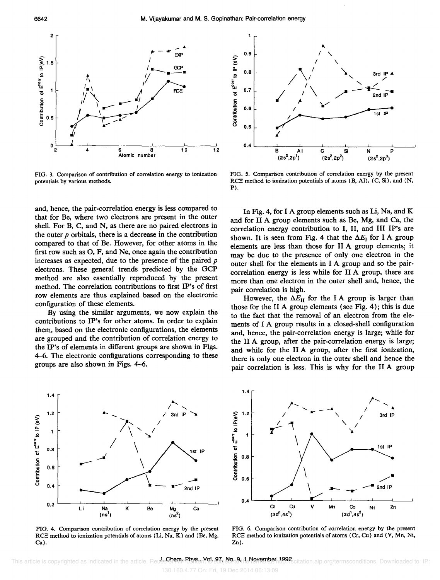

FIG. 3. Comparison of contribution of correlation energy to ionization potentials by various methods.

and, hence, the pair-correlation energy is less compared to that for Be, where two electrons are present in the outer shell. For B, C, and N, as there are no paired electrons in the outer *p* orbitals, there is a decrease in the contribution compared to that of Be. However, for other atoms in the first row such as 0, F, and Ne, once again the contribution increases as expected, due to the presence of the paired *p*  electrons. These general trends predicted by the GCP method are also essentially reproduced by the present method. The correlation contributions to first IP's of first row elements are thus explained based on the electronic configuration of these elements.

By using the similar arguments, we now explain the contributions to IP's for other atoms. In order to explain them, based on the electronic configurations, the elements are grouped and the contribution of correlation energy to the IP's of elements in different groups are shown in Figs. 4-6. The electronic configurations corresponding to these groups are also shown in Figs. 4-6.



FIG. 5. Comparison contribution of correlation energy by the present RCE method to ionization potentials of atoms (B, Al), (C, Si), and (N, Pl.

In Fig. 4, for I A group elements such as Li, Na, and K and for II A group elements such as Be, Mg, and Ca, the correlation energy contribution to I, II, and III IP's are shown. It is seen from Fig. 4 that the  $\Delta E_i$  for I A group elements are less than those for II A group elements; it may be due to the presence of only one electron in the outer shell for the elements in I A group and so the paircorrelation energy is less while for II A group, there are more than one electron in the outer shell and, hence, the pair correlation is high.

However, the  $\Delta E_{\text{II}}$  for the I A group is larger than those for the II A group elements (see Fig. 4); this is due to the fact that the removal of an electron from the elements of I A group results in a closed-shell configuration and, hence, the pair-correlation energy is large; while for the II A group, after the pair-correlation energy is large; and while for the II A group, after the first ionization, there is only one electron in the outer shell and hence the pair correlation is less. This is why for the II A group



FIG. 4. Comparison contribution of correlation energy by the present  $RCE$  method to ionization potentials of atoms (Li, Na, K) and (Be, Mg,  $Ca$ ).



FIG. 6. Comparison contribution of correlation energy by the present RCE method to ionization potentials of atoms (Cr, Cu) and (V, Mn, Ni, Zn).